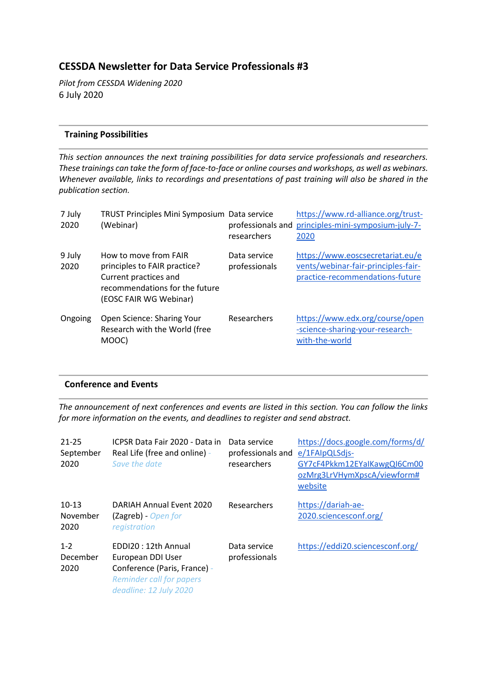# **CESSDA Newsletter for Data Service Professionals #3**

*Pilot from CESSDA Widening 2020* 6 July 2020

#### **Training Possibilities**

*This section announces the next training possibilities for data service professionals and researchers. These trainings can take the form of face-to-face or online courses and workshops, as well as webinars. Whenever available, links to recordings and presentations of past training will also be shared in the publication section.*

| 7 July<br>2020 | TRUST Principles Mini Symposium Data service<br>(Webinar)                                                                                  | professionals and<br>researchers | https://www.rd-alliance.org/trust-<br>principles-mini-symposium-july-7-<br>2020                            |
|----------------|--------------------------------------------------------------------------------------------------------------------------------------------|----------------------------------|------------------------------------------------------------------------------------------------------------|
| 9 July<br>2020 | How to move from FAIR<br>principles to FAIR practice?<br>Current practices and<br>recommendations for the future<br>(EOSC FAIR WG Webinar) | Data service<br>professionals    | https://www.eoscsecretariat.eu/e<br>vents/webinar-fair-principles-fair-<br>practice-recommendations-future |
| Ongoing        | Open Science: Sharing Your<br>Research with the World (free<br>MOOC)                                                                       | Researchers                      | https://www.edx.org/course/open<br>-science-sharing-your-research-<br>with-the-world                       |

#### **Conference and Events**

*The announcement of next conferences and events are listed in this section. You can follow the links for more information on the events, and deadlines to register and send abstract.*

| $21 - 25$<br>September<br>2020 | ICPSR Data Fair 2020 - Data in<br>Real Life (free and online) -<br>Save the date                                                      | Data service<br>professionals and<br>researchers | https://docs.google.com/forms/d/<br>e/1FAIpQLSdjs-<br>GY7cF4Pkkm12EYalKawgQl6Cm00<br>ozMrg3LrVHymXpscA/viewform#<br>website |
|--------------------------------|---------------------------------------------------------------------------------------------------------------------------------------|--------------------------------------------------|-----------------------------------------------------------------------------------------------------------------------------|
| $10-13$<br>November<br>2020    | <b>DARIAH Annual Event 2020</b><br>(Zagreb) - Open for<br>registration                                                                | Researchers                                      | https://dariah-ae-<br>2020.sciencesconf.org/                                                                                |
| $1 - 2$<br>December<br>2020    | EDDI20: 12th Annual<br>European DDI User<br>Conference (Paris, France) -<br><b>Reminder call for papers</b><br>deadline: 12 July 2020 | Data service<br>professionals                    | https://eddi20.sciencesconf.org/                                                                                            |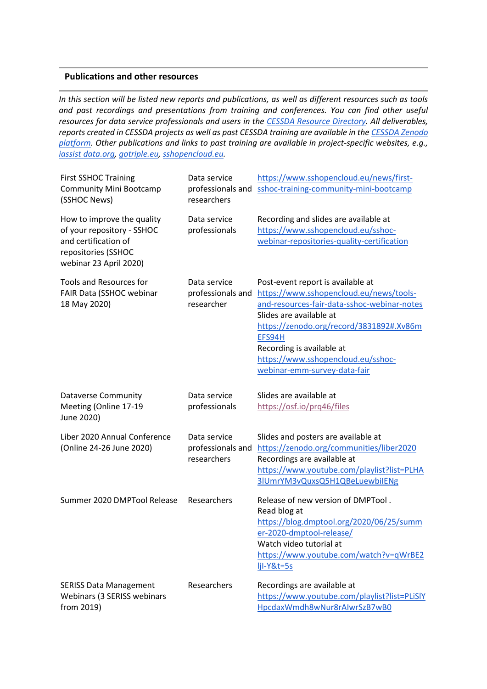#### **Publications and other resources**

*In this section will be listed new reports and publications, as well as different resources such as tools and past recordings and presentations from training and conferences. You can find other useful resources for data service professionals and users in the [CESSDA Resource Directory.](https://www.zotero.org/groups/2382601/cessda_resource_directory/library) All deliverables, reports created in CESSDA projects as well as past CESSDA training are available in the [CESSDA Zenodo](https://zenodo.org/communities/cessda/)  [platform.](https://zenodo.org/communities/cessda/) Other publications and links to past training are available in project-specific websites, e.g., [iassist data.org,](https://iassistdata.org/) [gotriple.eu,](https://www.cessda.eu/content/download/5055/55985/file/TRIPLE_A5_LEAFLET.pdf) [sshopencloud.eu.](https://sshopencloud.eu/)*

| <b>First SSHOC Training</b><br><b>Community Mini Bootcamp</b><br>(SSHOC News)                                                     | Data service<br>professionals and<br>researchers | https://www.sshopencloud.eu/news/first-<br>sshoc-training-community-mini-bootcamp                                                                                                                                                                                                                               |
|-----------------------------------------------------------------------------------------------------------------------------------|--------------------------------------------------|-----------------------------------------------------------------------------------------------------------------------------------------------------------------------------------------------------------------------------------------------------------------------------------------------------------------|
| How to improve the quality<br>of your repository - SSHOC<br>and certification of<br>repositories (SSHOC<br>webinar 23 April 2020) | Data service<br>professionals                    | Recording and slides are available at<br>https://www.sshopencloud.eu/sshoc-<br>webinar-repositories-quality-certification                                                                                                                                                                                       |
| <b>Tools and Resources for</b><br>FAIR Data (SSHOC webinar<br>18 May 2020)                                                        | Data service<br>professionals and<br>researcher  | Post-event report is available at<br>https://www.sshopencloud.eu/news/tools-<br>and-resources-fair-data-sshoc-webinar-notes<br>Slides are available at<br>https://zenodo.org/record/3831892#.Xv86m<br>EFS94H<br>Recording is available at<br>https://www.sshopencloud.eu/sshoc-<br>webinar-emm-survey-data-fair |
| <b>Dataverse Community</b><br>Meeting (Online 17-19<br>June 2020)                                                                 | Data service<br>professionals                    | Slides are available at<br>https://osf.io/prq46/files                                                                                                                                                                                                                                                           |
| Liber 2020 Annual Conference<br>(Online 24-26 June 2020)                                                                          | Data service<br>professionals and<br>researchers | Slides and posters are available at<br>https://zenodo.org/communities/liber2020<br>Recordings are available at<br>https://www.youtube.com/playlist?list=PLHA<br>3IUmrYM3vQuxsQ5H1QBeLuewbilENg                                                                                                                  |
| Summer 2020 DMPTool Release                                                                                                       | Researchers                                      | Release of new version of DMPTool.<br>Read blog at<br>https://blog.dmptool.org/2020/06/25/summ<br>er-2020-dmptool-release/<br>Watch video tutorial at<br>https://www.youtube.com/watch?v=qWrBE2<br>$1jI-Y&t=5s$                                                                                                 |
| <b>SERISS Data Management</b><br>Webinars (3 SERISS webinars<br>from 2019)                                                        | Researchers                                      | Recordings are available at<br>https://www.youtube.com/playlist?list=PLiSlY<br>HpcdaxWmdh8wNur8rAIwrSzB7wB0                                                                                                                                                                                                     |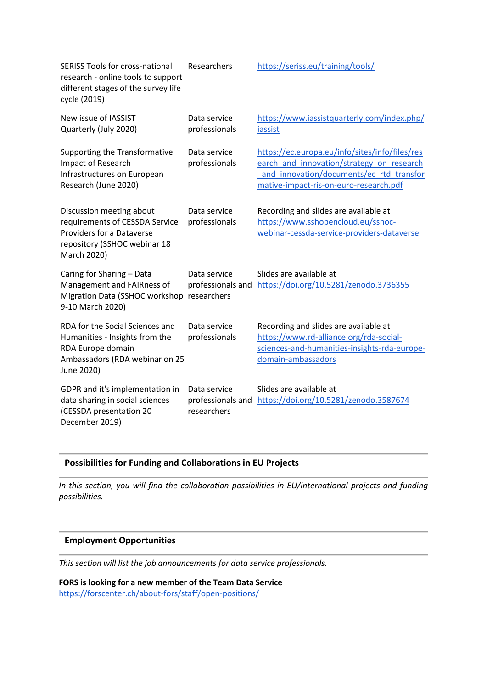| <b>SERISS Tools for cross-national</b><br>research - online tools to support<br>different stages of the survey life<br>cycle (2019)    | Researchers                                      | https://seriss.eu/training/tools/                                                                                                                                                 |
|----------------------------------------------------------------------------------------------------------------------------------------|--------------------------------------------------|-----------------------------------------------------------------------------------------------------------------------------------------------------------------------------------|
| New issue of IASSIST<br>Quarterly (July 2020)                                                                                          | Data service<br>professionals                    | https://www.iassistquarterly.com/index.php/<br>iassist                                                                                                                            |
| Supporting the Transformative<br>Impact of Research<br>Infrastructures on European<br>Research (June 2020)                             | Data service<br>professionals                    | https://ec.europa.eu/info/sites/info/files/res<br>earch and innovation/strategy on research<br>and innovation/documents/ec rtd transfor<br>mative-impact-ris-on-euro-research.pdf |
| Discussion meeting about<br>requirements of CESSDA Service<br>Providers for a Dataverse<br>repository (SSHOC webinar 18<br>March 2020) | Data service<br>professionals                    | Recording and slides are available at<br>https://www.sshopencloud.eu/sshoc-<br>webinar-cessda-service-providers-dataverse                                                         |
| Caring for Sharing - Data<br>Management and FAIRness of<br>Migration Data (SSHOC workshop researchers<br>9-10 March 2020)              | Data service                                     | Slides are available at<br>professionals and https://doi.org/10.5281/zenodo.3736355                                                                                               |
| RDA for the Social Sciences and<br>Humanities - Insights from the<br>RDA Europe domain<br>Ambassadors (RDA webinar on 25<br>June 2020) | Data service<br>professionals                    | Recording and slides are available at<br>https://www.rd-alliance.org/rda-social-<br>sciences-and-humanities-insights-rda-europe-<br>domain-ambassadors                            |
| GDPR and it's implementation in<br>data sharing in social sciences<br>(CESSDA presentation 20<br>December 2019)                        | Data service<br>professionals and<br>researchers | Slides are available at<br>https://doi.org/10.5281/zenodo.3587674                                                                                                                 |

### **Possibilities for Funding and Collaborations in EU Projects**

*In this section, you will find the collaboration possibilities in EU/international projects and funding possibilities.*

#### **Employment Opportunities**

*This section will list the job announcements for data service professionals.*

**FORS is looking for a new member of the Team Data Service** <https://forscenter.ch/about-fors/staff/open-positions/>